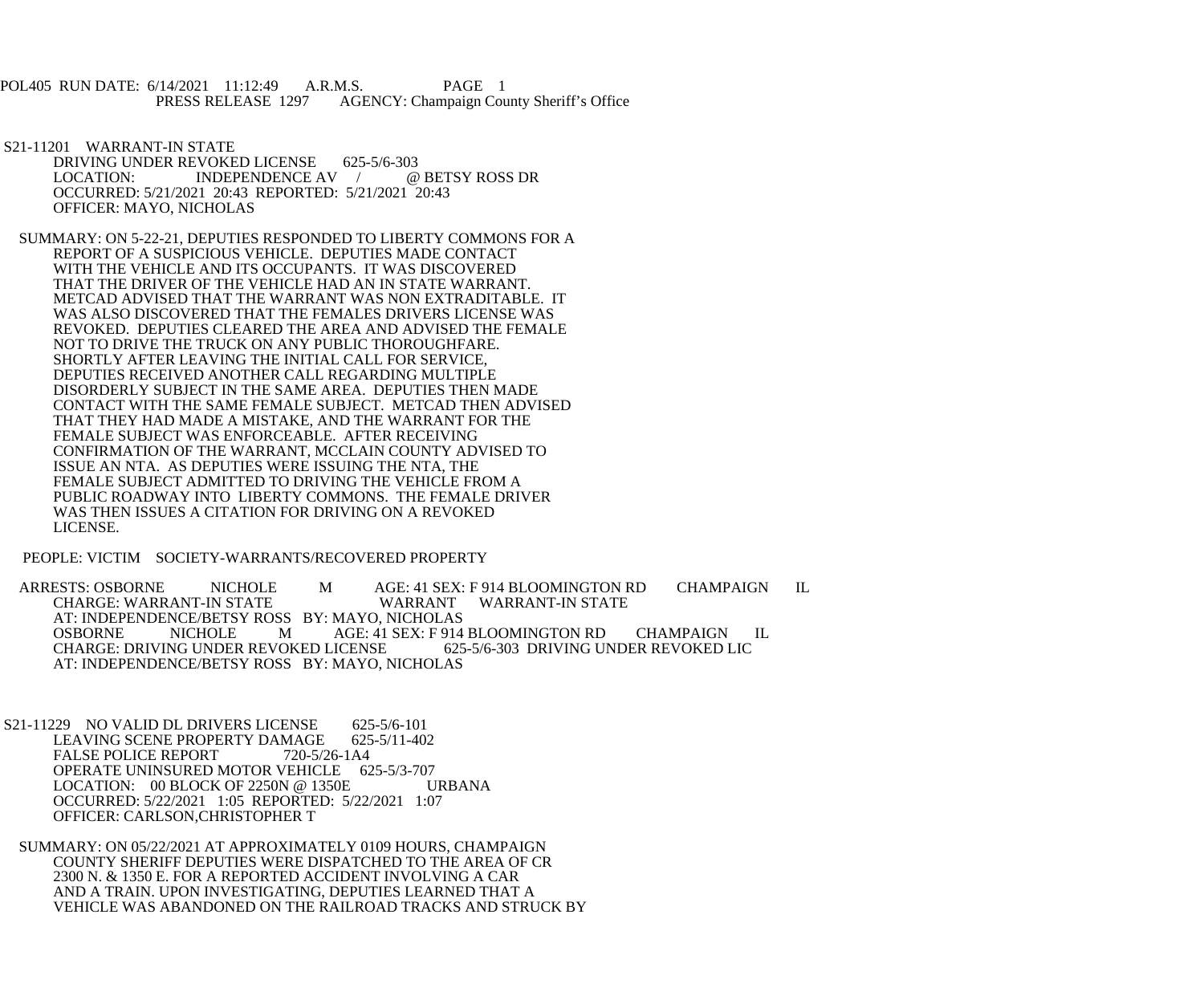POL405 RUN DATE: 6/14/2021 11:12:49 A.R.M.S. PAGE 1<br>PRESS RELEASE 1297 AGENCY: Champaign Cou AGENCY: Champaign County Sheriff's Office

 S21-11201 WARRANT-IN STATE DRIVING UNDER REVOKED LICENSE 625-5/6-303<br>LOCATION: INDEPENDENCE AV / @ BETSY ROSS DR  $LOGATION:$   $INDEPENDENCE AV$  / OCCURRED: 5/21/2021 20:43 REPORTED: 5/21/2021 20:43 OFFICER: MAYO, NICHOLAS

 SUMMARY: ON 5-22-21, DEPUTIES RESPONDED TO LIBERTY COMMONS FOR A REPORT OF A SUSPICIOUS VEHICLE. DEPUTIES MADE CONTACT WITH THE VEHICLE AND ITS OCCUPANTS. IT WAS DISCOVERED THAT THE DRIVER OF THE VEHICLE HAD AN IN STATE WARRANT. METCAD ADVISED THAT THE WARRANT WAS NON EXTRADITABLE. IT WAS ALSO DISCOVERED THAT THE FEMALES DRIVERS LICENSE WAS REVOKED. DEPUTIES CLEARED THE AREA AND ADVISED THE FEMALE NOT TO DRIVE THE TRUCK ON ANY PUBLIC THOROUGHFARE. SHORTLY AFTER LEAVING THE INITIAL CALL FOR SERVICE, DEPUTIES RECEIVED ANOTHER CALL REGARDING MULTIPLE DISORDERLY SUBJECT IN THE SAME AREA. DEPUTIES THEN MADE CONTACT WITH THE SAME FEMALE SUBJECT. METCAD THEN ADVISED THAT THEY HAD MADE A MISTAKE, AND THE WARRANT FOR THE FEMALE SUBJECT WAS ENFORCEABLE. AFTER RECEIVING CONFIRMATION OF THE WARRANT, MCCLAIN COUNTY ADVISED TO ISSUE AN NTA. AS DEPUTIES WERE ISSUING THE NTA, THE FEMALE SUBJECT ADMITTED TO DRIVING THE VEHICLE FROM A PUBLIC ROADWAY INTO LIBERTY COMMONS. THE FEMALE DRIVER WAS THEN ISSUES A CITATION FOR DRIVING ON A REVOKED LICENSE.

PEOPLE: VICTIM SOCIETY-WARRANTS/RECOVERED PROPERTY

ARRESTS: OSBORNE NICHOLE M AGE: 41 SEX: F 914 BLOOMINGTON RD CHAMPAIGN IL<br>CHARGE: WARRANT-IN STATE WARRANT WARRANT-IN STATE WARRANT WARRANT-IN STATE AT: INDEPENDENCE/BETSY ROSS BY: MAYO, NICHOLAS<br>OSBORNE NICHOLE MAGE: 41 SEX: F 914 AGE: 41 SEX: F 914 BLOOMINGTON RD CHAMPAIGN IL<br>ICENSE 625-5/6-303 DRIVING UNDER REVOKED LIC CHARGE: DRIVING UNDER REVOKED LICENSE AT: INDEPENDENCE/BETSY ROSS BY: MAYO, NICHOLAS

S21-11229 NO VALID DL DRIVERS LICENSE 625-5/6-101<br>LEAVING SCENE PROPERTY DAMAGE 625-5/11-402 LEAVING SCENE PROPERTY DAMAGE 625<br>FALSE POLICE REPORT 720-5/26-1A4 FALSE POLICE REPORT OPERATE UNINSURED MOTOR VEHICLE 625-5/3-707<br>LOCATION: 00 BLOCK OF 2250N @ 1350E URBANA LOCATION:  $00$  BLOCK OF 2250N @ 1350E OCCURRED: 5/22/2021 1:05 REPORTED: 5/22/2021 1:07 OFFICER: CARLSON,CHRISTOPHER T

 SUMMARY: ON 05/22/2021 AT APPROXIMATELY 0109 HOURS, CHAMPAIGN COUNTY SHERIFF DEPUTIES WERE DISPATCHED TO THE AREA OF CR 2300 N. & 1350 E. FOR A REPORTED ACCIDENT INVOLVING A CAR AND A TRAIN. UPON INVESTIGATING, DEPUTIES LEARNED THAT A VEHICLE WAS ABANDONED ON THE RAILROAD TRACKS AND STRUCK BY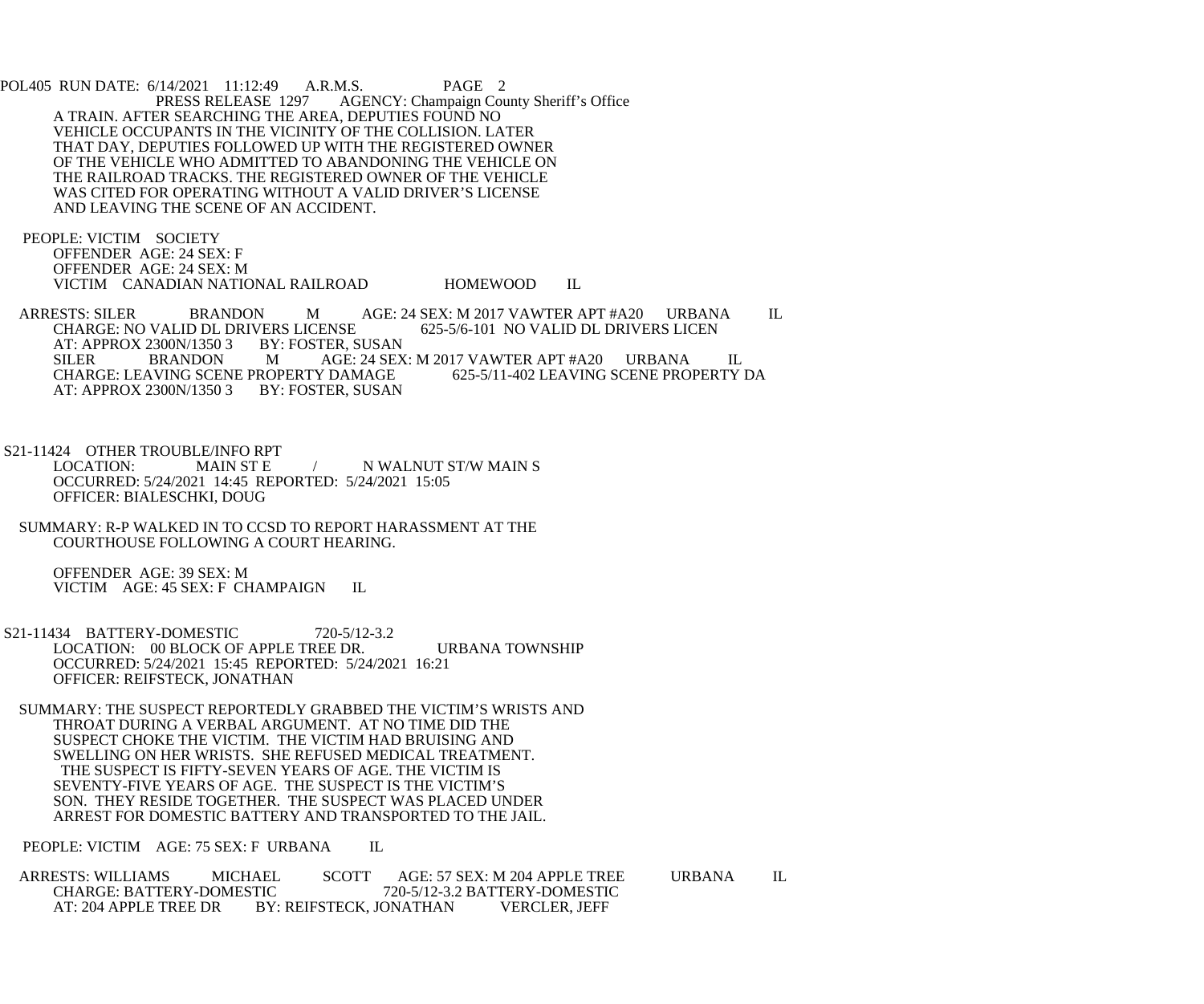POL405 RUN DATE: 6/14/2021 11:12:49 A.R.M.S. PAGE 2<br>PRESS RELEASE 1297 AGENCY: Champaign Cou AGENCY: Champaign County Sheriff's Office A TRAIN. AFTER SEARCHING THE AREA, DEPUTIES FOUND NO VEHICLE OCCUPANTS IN THE VICINITY OF THE COLLISION. LATER THAT DAY, DEPUTIES FOLLOWED UP WITH THE REGISTERED OWNER OF THE VEHICLE WHO ADMITTED TO ABANDONING THE VEHICLE ON THE RAILROAD TRACKS. THE REGISTERED OWNER OF THE VEHICLE WAS CITED FOR OPERATING WITHOUT A VALID DRIVER'S LICENSE AND LEAVING THE SCENE OF AN ACCIDENT.

 PEOPLE: VICTIM SOCIETY OFFENDER AGE: 24 SEX: F OFFENDER AGE: 24 SEX: M VICTIM CANADIAN NATIONAL RAILROAD HOMEWOOD IL

ARRESTS: SILER BRANDON M AGE: 24 SEX: M 2017 VAWTER APT #A20 URBANA IL CHARGE: NO VALID DL DRIVERS LICEN CHARGE: NO VALID DL DRIVERS LICENSE<br>AT: APPROX 2300N/1350 3 BY: FOSTER, SUSAN AT: APPROX 2300N/1350 3<br>SILER BRANDON M AGE: 24 SEX: M 2017 VAWTER APT #A20 URBANA IL<br>ROPERTY DAMAGE 625-5/11-402 LEAVING SCENE PROPERTY DA CHARGE: LEAVING SCENE PROPERTY DAMAGE<br>AT: APPROX 2300N/1350 3 BY: FOSTER, SUSAN AT: APPROX 2300N/1350 3

S21-11424 OTHER TROUBLE/INFO RPT<br>LOCATION: MAIN ST E / NWALNUT ST/W MAIN S OCCURRED: 5/24/2021 14:45 REPORTED: 5/24/2021 15:05 OFFICER: BIALESCHKI, DOUG

 SUMMARY: R-P WALKED IN TO CCSD TO REPORT HARASSMENT AT THE COURTHOUSE FOLLOWING A COURT HEARING.

 OFFENDER AGE: 39 SEX: M VICTIM AGE: 45 SEX: F CHAMPAIGN IL

 S21-11434 BATTERY-DOMESTIC 720-5/12-3.2 LOCATION: 00 BLOCK OF APPLE TREE DR. URBANA TOWNSHIP OCCURRED: 5/24/2021 15:45 REPORTED: 5/24/2021 16:21 OFFICER: REIFSTECK, JONATHAN

 SUMMARY: THE SUSPECT REPORTEDLY GRABBED THE VICTIM'S WRISTS AND THROAT DURING A VERBAL ARGUMENT. AT NO TIME DID THE SUSPECT CHOKE THE VICTIM. THE VICTIM HAD BRUISING AND SWELLING ON HER WRISTS. SHE REFUSED MEDICAL TREATMENT. THE SUSPECT IS FIFTY-SEVEN YEARS OF AGE. THE VICTIM IS SEVENTY-FIVE YEARS OF AGE. THE SUSPECT IS THE VICTIM'S SON. THEY RESIDE TOGETHER. THE SUSPECT WAS PLACED UNDER ARREST FOR DOMESTIC BATTERY AND TRANSPORTED TO THE JAIL.

PEOPLE: VICTIM AGE: 75 SEX: F URBANA IL

ARRESTS: WILLIAMS MICHAEL SCOTT AGE: 57 SEX: M 204 APPLE TREE URBANA IL CHARGE: BATTERY-DOMESTIC 720-5/12-3.2 BATTERY-DOMESTIC CHARGE: BATTERY-DOMESTIC 720-5/12-3.2 BATTERY-DOMESTIC<br>AT: 204 APPLE TREE DR BY: REIFSTECK. JONATHAN VERCLER. JEFF BY: REIFSTECK, JONATHAN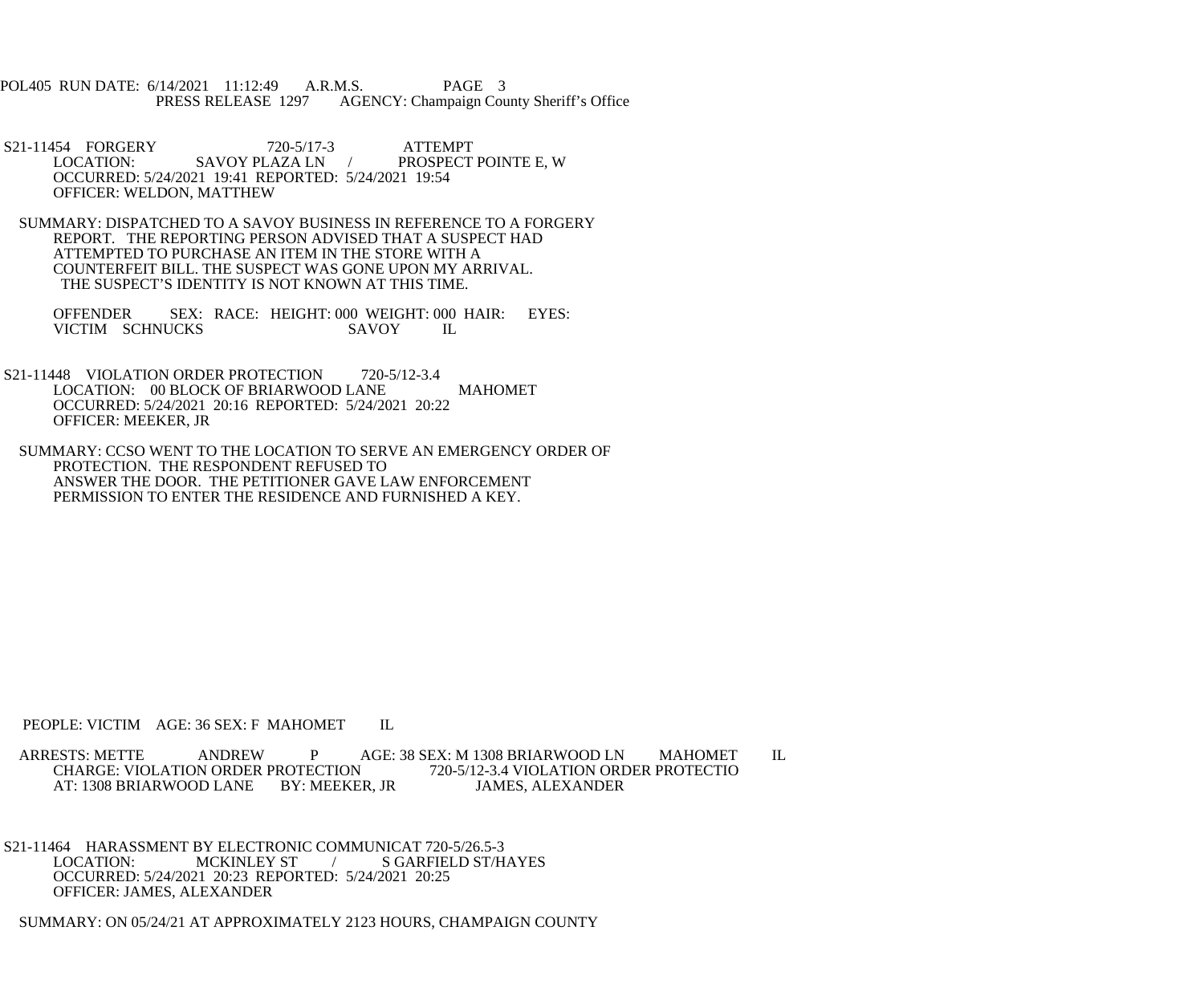POL405 RUN DATE: 6/14/2021 11:12:49 A.R.M.S. PAGE 3<br>PRESS RELEASE 1297 AGENCY: Champaign Cou AGENCY: Champaign County Sheriff's Office

S21-11454 FORGERY 720-5/17-3 ATTEMPT LOCATION: SAVOY PLAZA LN / PROSPECT PROSPECT POINTE E, W OCCURRED: 5/24/2021 19:41 REPORTED: 5/24/2021 19:54 OFFICER: WELDON, MATTHEW

 SUMMARY: DISPATCHED TO A SAVOY BUSINESS IN REFERENCE TO A FORGERY REPORT. THE REPORTING PERSON ADVISED THAT A SUSPECT HAD ATTEMPTED TO PURCHASE AN ITEM IN THE STORE WITH A COUNTERFEIT BILL. THE SUSPECT WAS GONE UPON MY ARRIVAL. THE SUSPECT'S IDENTITY IS NOT KNOWN AT THIS TIME.

OFFENDER SEX: RACE: HEIGHT: 000 WEIGHT: 000 HAIR: EYES:<br>VICTIM SCHNUCKS SAVOY IL VICTIM SCHNUCKS

S21-11448 VIOLATION ORDER PROTECTION 720-5/12-3.4 LOCATION: 00 BLOCK OF BRIARWOOD LANE MAHOMET OCCURRED: 5/24/2021 20:16 REPORTED: 5/24/2021 20:22 OFFICER: MEEKER, JR

 SUMMARY: CCSO WENT TO THE LOCATION TO SERVE AN EMERGENCY ORDER OF PROTECTION. THE RESPONDENT REFUSED TO ANSWER THE DOOR. THE PETITIONER GAVE LAW ENFORCEMENT PERMISSION TO ENTER THE RESIDENCE AND FURNISHED A KEY.

PEOPLE: VICTIM AGE: 36 SEX: F MAHOMET IL

ARRESTS: METTE ANDREW P AGE: 38 SEX: M 1308 BRIARWOOD LN MAHOMET IL CHARGE: VIOLATION ORDER PROTECTIO CHARGE: VIOLATION ORDER PROTECTION<br>AT: 1308 BRIARWOOD LANE BY: MEEKER, JR AT: 1308 BRIARWOOD LANE BY: MEEKER, JR JAMES, ALEXANDER

S21-11464 HARASSMENT BY ELECTRONIC COMMUNICAT 720-5/26.5-3<br>LOCATION: MCKINLEY ST / SGARFIELD ST/H / S GARFIELD ST/HAYES OCCURRED: 5/24/2021 20:23 REPORTED: 5/24/2021 20:25 OFFICER: JAMES, ALEXANDER

SUMMARY: ON 05/24/21 AT APPROXIMATELY 2123 HOURS, CHAMPAIGN COUNTY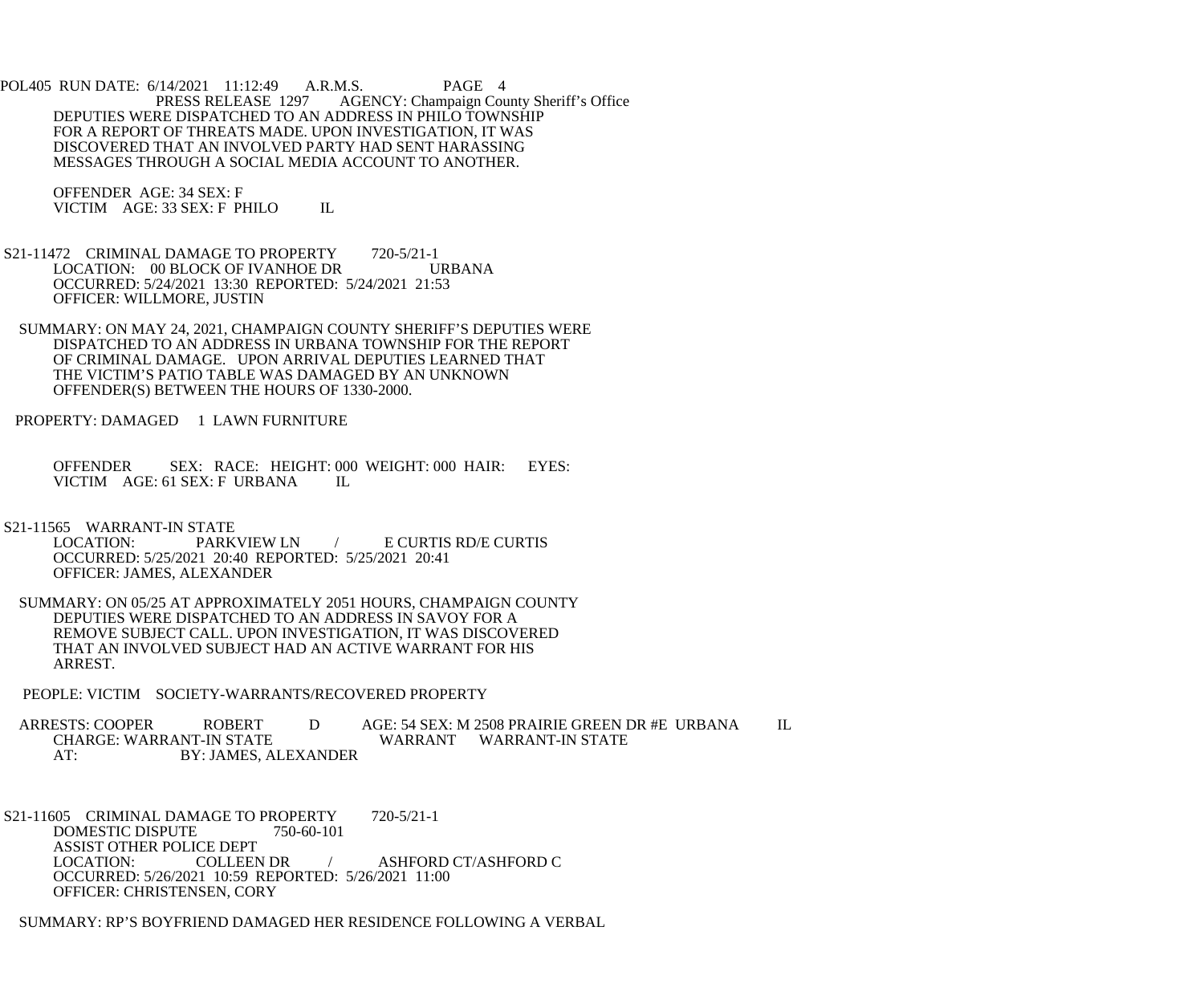POL405 RUN DATE: 6/14/2021 11:12:49 A.R.M.S. PAGE 4<br>PRESS RELEASE 1297 AGENCY: Champaign Cou AGENCY: Champaign County Sheriff's Office DEPUTIES WERE DISPATCHED TO AN ADDRESS IN PHILO TOWNSHIP FOR A REPORT OF THREATS MADE. UPON INVESTIGATION, IT WAS DISCOVERED THAT AN INVOLVED PARTY HAD SENT HARASSING MESSAGES THROUGH A SOCIAL MEDIA ACCOUNT TO ANOTHER.

 OFFENDER AGE: 34 SEX: F VICTIM AGE: 33 SEX: F PHILO IL

- S21-11472 CRIMINAL DAMAGE TO PROPERTY 720-5/21-1 LOCATION: 00 BLOCK OF IVANHOE DR URBANA OCCURRED: 5/24/2021 13:30 REPORTED: 5/24/2021 21:53 OFFICER: WILLMORE, JUSTIN
- SUMMARY: ON MAY 24, 2021, CHAMPAIGN COUNTY SHERIFF'S DEPUTIES WERE DISPATCHED TO AN ADDRESS IN URBANA TOWNSHIP FOR THE REPORT OF CRIMINAL DAMAGE. UPON ARRIVAL DEPUTIES LEARNED THAT THE VICTIM'S PATIO TABLE WAS DAMAGED BY AN UNKNOWN OFFENDER(S) BETWEEN THE HOURS OF 1330-2000.

PROPERTY: DAMAGED 1 LAWN FURNITURE

 OFFENDER SEX: RACE: HEIGHT: 000 WEIGHT: 000 HAIR: EYES: VICTIM AGE: 61 SEX: F URBANA IL

S21-11565 WARRANT-IN STATE<br>LOCATION: PARKVIEW LN LOCATION: PARKVIEW LN / E CURTIS RD/E CURTIS OCCURRED: 5/25/2021 20:40 REPORTED: 5/25/2021 20:41 OFFICER: JAMES, ALEXANDER

 SUMMARY: ON 05/25 AT APPROXIMATELY 2051 HOURS, CHAMPAIGN COUNTY DEPUTIES WERE DISPATCHED TO AN ADDRESS IN SAVOY FOR A REMOVE SUBJECT CALL. UPON INVESTIGATION, IT WAS DISCOVERED THAT AN INVOLVED SUBJECT HAD AN ACTIVE WARRANT FOR HIS ARREST.

PEOPLE: VICTIM SOCIETY-WARRANTS/RECOVERED PROPERTY

ARRESTS: COOPER ROBERT D AGE: 54 SEX: M 2508 PRAIRIE GREEN DR #E URBANA IL<br>CHARGE: WARRANT-IN STATE WARRANT WARRANT-IN STATE WARRANT WARRANT-IN STATE AT: BY: JAMES, ALEXANDER

S21-11605 CRIMINAL DAMAGE TO PROPERTY 720-5/21-1 DOMESTIC DISPUTE 750-60-101 ASSIST OTHER POLICE DEPT<br>LOCATION: COLLEEN DR / ASHFORD CT/ASHFORD C OCCURRED: 5/26/2021 10:59 REPORTED: 5/26/2021 11:00 OFFICER: CHRISTENSEN, CORY

SUMMARY: RP'S BOYFRIEND DAMAGED HER RESIDENCE FOLLOWING A VERBAL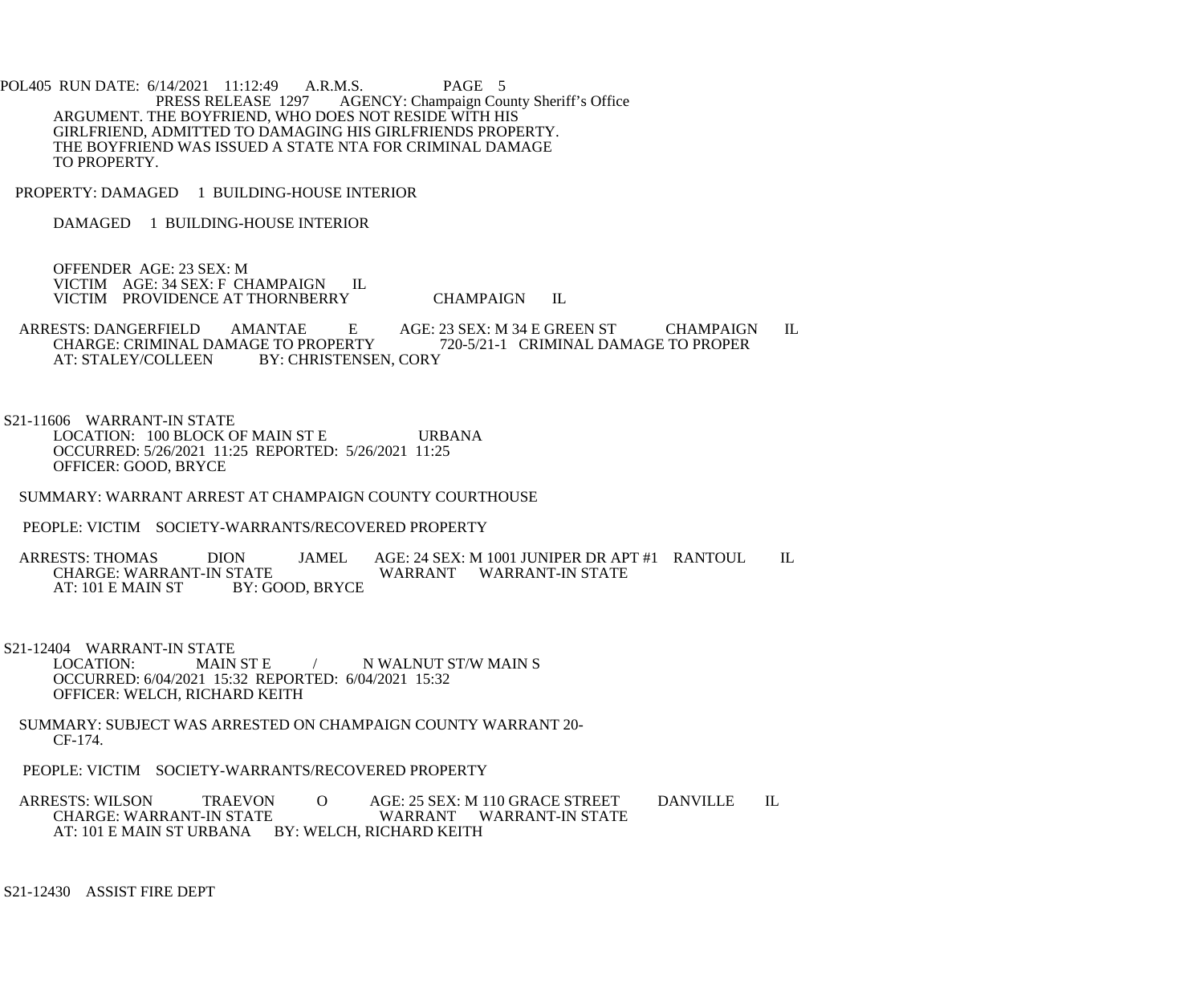POL405 RUN DATE: 6/14/2021 11:12:49 A.R.M.S. PAGE 5<br>PRESS RELEASE 1297 AGENCY: Champaign Cou AGENCY: Champaign County Sheriff's Office ARGUMENT. THE BOYFRIEND, WHO DOES NOT RESIDE WITH HIS GIRLFRIEND, ADMITTED TO DAMAGING HIS GIRLFRIENDS PROPERTY. THE BOYFRIEND WAS ISSUED A STATE NTA FOR CRIMINAL DAMAGE TO PROPERTY.

PROPERTY: DAMAGED 1 BUILDING-HOUSE INTERIOR

DAMAGED 1 BUILDING-HOUSE INTERIOR

 OFFENDER AGE: 23 SEX: M VICTIM AGE: 34 SEX: F CHAMPAIGN IL VICTIM PROVIDENCE AT THORNBERRY CHAMPAIGN IL

 ARRESTS: DANGERFIELD AMANTAE E AGE: 23 SEX: M 34 E GREEN ST CHAMPAIGN IL CHARGE: CRIMINAL DAMAGE TO PROPERTY 720-5/21-1 CRIMINAL DAMAGE TO PROPER AT: STALEY/COLLEEN BY: CHRISTENSEN, CORY BY: CHRISTENSEN, CORY

 S21-11606 WARRANT-IN STATE LOCATION: 100 BLOCK OF MAIN ST E URBANA OCCURRED: 5/26/2021 11:25 REPORTED: 5/26/2021 11:25 OFFICER: GOOD, BRYCE

SUMMARY: WARRANT ARREST AT CHAMPAIGN COUNTY COURTHOUSE

PEOPLE: VICTIM SOCIETY-WARRANTS/RECOVERED PROPERTY

ARRESTS: THOMAS DION JAMEL AGE: 24 SEX: M 1001 JUNIPER DR APT #1 RANTOUL IL CHARGE: WARRANT-IN STATE CHARGE: WARRANT-IN STATE WARRANT WARRANT-IN STATE<br>AT: 101 E MAIN ST BY: GOOD. BRYCE BY: GOOD, BRYCE

S21-12404 WARRANT-IN STATE<br>LOCATION: MAIN ST E / N WALNUT ST/W MAIN S OCCURRED: 6/04/2021 15:32 REPORTED: 6/04/2021 15:32 OFFICER: WELCH, RICHARD KEITH

 SUMMARY: SUBJECT WAS ARRESTED ON CHAMPAIGN COUNTY WARRANT 20- CF-174.

PEOPLE: VICTIM SOCIETY-WARRANTS/RECOVERED PROPERTY

ARRESTS: WILSON TRAEVON O AGE: 25 SEX: M 110 GRACE STREET DANVILLE IL<br>CHARGE: WARRANT-IN STATE WARRANT WARRANT-IN STATE WARRANT WARRANT-IN STATE AT: 101 E MAIN ST URBANA BY: WELCH, RICHARD KEITH

S21-12430 ASSIST FIRE DEPT